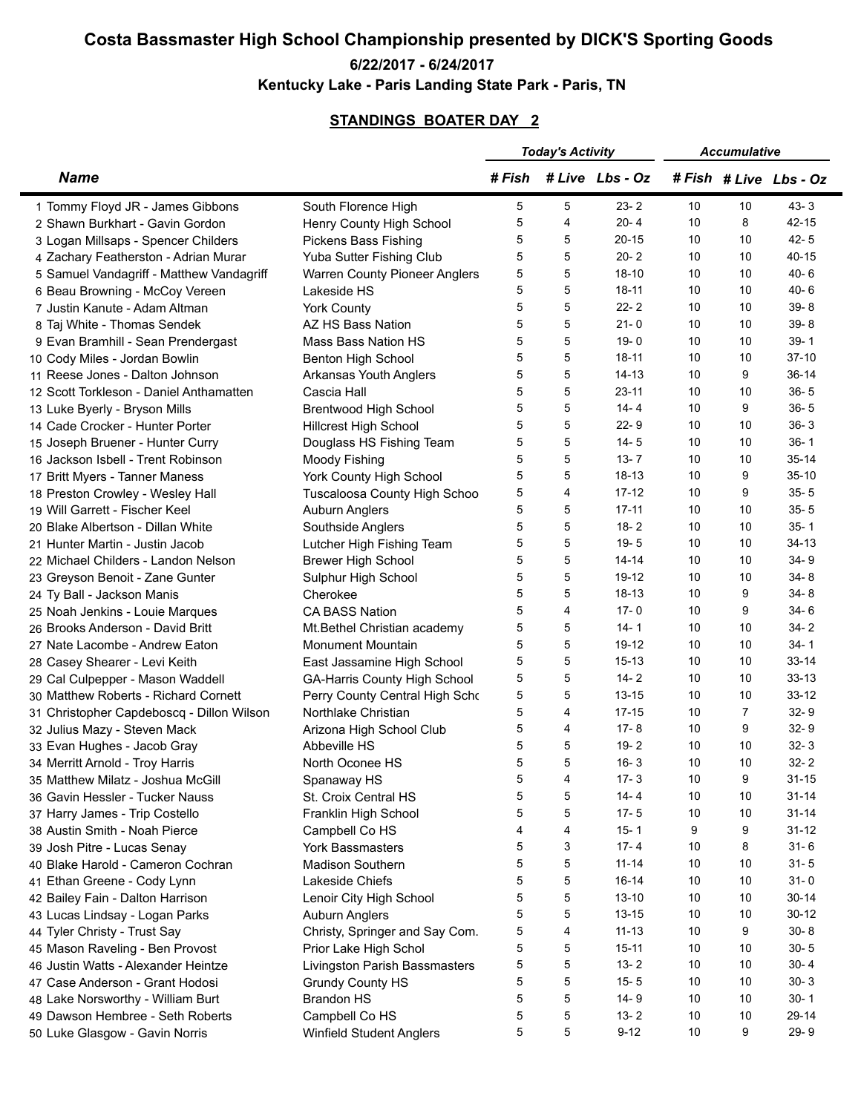## **Costa Bassmaster High School Championship presented by DICK'S Sporting Goods**

## **6/22/2017 - 6/24/2017**

**Kentucky Lake - Paris Landing State Park - Paris, TN**

## **STANDINGS BOATER DAY 2**

|                                           |                                      | <b>Today's Activity</b> |   | <b>Accumulative</b> |    |                |                    |
|-------------------------------------------|--------------------------------------|-------------------------|---|---------------------|----|----------------|--------------------|
| <b>Name</b>                               |                                      | # Fish                  |   | # Live Lbs - Oz     |    |                | #Fish #Live Lbs-Oz |
| 1 Tommy Floyd JR - James Gibbons          | South Florence High                  | 5                       | 5 | $23 - 2$            | 10 | 10             | $43 - 3$           |
| 2 Shawn Burkhart - Gavin Gordon           | Henry County High School             | 5                       | 4 | $20 - 4$            | 10 | 8              | $42 - 15$          |
| 3 Logan Millsaps - Spencer Childers       | Pickens Bass Fishing                 | 5                       | 5 | $20 - 15$           | 10 | 10             | $42 - 5$           |
| 4 Zachary Featherston - Adrian Murar      | Yuba Sutter Fishing Club             | 5                       | 5 | $20 - 2$            | 10 | 10             | $40 - 15$          |
| 5 Samuel Vandagriff - Matthew Vandagriff  | <b>Warren County Pioneer Anglers</b> | 5                       | 5 | $18 - 10$           | 10 | 10             | $40 - 6$           |
| 6 Beau Browning - McCoy Vereen            | Lakeside HS                          | 5                       | 5 | $18 - 11$           | 10 | 10             | $40 - 6$           |
| 7 Justin Kanute - Adam Altman             | <b>York County</b>                   | 5                       | 5 | $22 - 2$            | 10 | 10             | $39 - 8$           |
| 8 Taj White - Thomas Sendek               | AZ HS Bass Nation                    | 5                       | 5 | $21 - 0$            | 10 | 10             | $39 - 8$           |
| 9 Evan Bramhill - Sean Prendergast        | <b>Mass Bass Nation HS</b>           | 5                       | 5 | $19 - 0$            | 10 | 10             | $39 - 1$           |
| 10 Cody Miles - Jordan Bowlin             | Benton High School                   | 5                       | 5 | $18 - 11$           | 10 | 10             | $37-10$            |
| 11 Reese Jones - Dalton Johnson           | Arkansas Youth Anglers               | 5                       | 5 | $14 - 13$           | 10 | 9              | $36-14$            |
| 12 Scott Torkleson - Daniel Anthamatten   | Cascia Hall                          | 5                       | 5 | $23 - 11$           | 10 | 10             | $36 - 5$           |
| 13 Luke Byerly - Bryson Mills             | <b>Brentwood High School</b>         | 5                       | 5 | $14 - 4$            | 10 | 9              | $36 - 5$           |
| 14 Cade Crocker - Hunter Porter           | <b>Hillcrest High School</b>         | 5                       | 5 | $22 - 9$            | 10 | 10             | $36 - 3$           |
| 15 Joseph Bruener - Hunter Curry          | Douglass HS Fishing Team             | 5                       | 5 | $14 - 5$            | 10 | 10             | $36 - 1$           |
| 16 Jackson Isbell - Trent Robinson        |                                      | 5                       | 5 | $13 - 7$            | 10 | 10             | $35 - 14$          |
|                                           | Moody Fishing                        | 5                       | 5 | $18-13$             | 10 | 9              | $35-10$            |
| 17 Britt Myers - Tanner Maness            | York County High School              |                         | 4 | $17 - 12$           | 10 | 9              | $35 - 5$           |
| 18 Preston Crowley - Wesley Hall          | Tuscaloosa County High Schoo         | 5                       |   |                     |    |                |                    |
| 19 Will Garrett - Fischer Keel            | Auburn Anglers                       | 5                       | 5 | $17 - 11$           | 10 | 10             | $35 - 5$           |
| 20 Blake Albertson - Dillan White         | Southside Anglers                    | 5                       | 5 | $18 - 2$            | 10 | 10             | $35 - 1$           |
| 21 Hunter Martin - Justin Jacob           | Lutcher High Fishing Team            | 5                       | 5 | $19 - 5$            | 10 | 10             | $34-13$            |
| 22 Michael Childers - Landon Nelson       | <b>Brewer High School</b>            | 5                       | 5 | $14 - 14$           | 10 | 10             | $34 - 9$           |
| 23 Greyson Benoit - Zane Gunter           | Sulphur High School                  | 5                       | 5 | $19-12$             | 10 | 10             | $34 - 8$           |
| 24 Ty Ball - Jackson Manis                | Cherokee                             | 5                       | 5 | $18-13$             | 10 | 9              | $34 - 8$           |
| 25 Noah Jenkins - Louie Marques           | <b>CA BASS Nation</b>                | 5                       | 4 | $17 - 0$            | 10 | 9              | $34 - 6$           |
| 26 Brooks Anderson - David Britt          | Mt. Bethel Christian academy         | 5                       | 5 | 14-1                | 10 | 10             | $34 - 2$           |
| 27 Nate Lacombe - Andrew Eaton            | <b>Monument Mountain</b>             | 5                       | 5 | $19-12$             | 10 | 10             | $34 - 1$           |
| 28 Casey Shearer - Levi Keith             | East Jassamine High School           | 5                       | 5 | $15 - 13$           | 10 | 10             | $33 - 14$          |
| 29 Cal Culpepper - Mason Waddell          | GA-Harris County High School         | 5                       | 5 | $14 - 2$            | 10 | 10             | $33 - 13$          |
| 30 Matthew Roberts - Richard Cornett      | Perry County Central High Scho       | 5                       | 5 | $13 - 15$           | 10 | 10             | $33 - 12$          |
| 31 Christopher Capdeboscq - Dillon Wilson | Northlake Christian                  | 5                       | 4 | $17 - 15$           | 10 | $\overline{7}$ | $32 - 9$           |
| 32 Julius Mazy - Steven Mack              | Arizona High School Club             | 5                       | 4 | $17 - 8$            | 10 | 9              | $32 - 9$           |
| 33 Evan Hughes - Jacob Gray               | Abbeville HS                         | 5                       | 5 | $19 - 2$            | 10 | 10             | $32 - 3$           |
| 34 Merritt Arnold - Troy Harris           | North Oconee HS                      | 5                       | 5 | $16 - 3$            | 10 | 10             | $32 - 2$           |
| 35 Matthew Milatz - Joshua McGill         | Spanaway HS                          | 5                       | 4 | $17 - 3$            | 10 | 9              | $31 - 15$          |
| 36 Gavin Hessler - Tucker Nauss           | St. Croix Central HS                 | 5                       | 5 | $14 - 4$            | 10 | 10             | $31 - 14$          |
| 37 Harry James - Trip Costello            | Franklin High School                 | 5                       | 5 | $17 - 5$            | 10 | 10             | $31 - 14$          |
| 38 Austin Smith - Noah Pierce             | Campbell Co HS                       | 4                       | 4 | $15 - 1$            | 9  | 9              | $31 - 12$          |
| 39 Josh Pitre - Lucas Senay               | York Bassmasters                     | 5                       | 3 | $17 - 4$            | 10 | 8              | $31 - 6$           |
| 40 Blake Harold - Cameron Cochran         | Madison Southern                     | 5                       | 5 | $11 - 14$           | 10 | 10             | $31 - 5$           |
| 41 Ethan Greene - Cody Lynn               | Lakeside Chiefs                      | 5                       | 5 | $16-14$             | 10 | 10             | $31 - 0$           |
| 42 Bailey Fain - Dalton Harrison          | Lenoir City High School              | 5                       | 5 | $13 - 10$           | 10 | 10             | $30 - 14$          |
| 43 Lucas Lindsay - Logan Parks            | Auburn Anglers                       | 5                       | 5 | $13 - 15$           | 10 | 10             | $30-12$            |
| 44 Tyler Christy - Trust Say              | Christy, Springer and Say Com.       | 5                       | 4 | $11 - 13$           | 10 | 9              | $30 - 8$           |
| 45 Mason Raveling - Ben Provost           | Prior Lake High Schol                | 5                       | 5 | $15 - 11$           | 10 | 10             | $30 - 5$           |
| 46 Justin Watts - Alexander Heintze       | Livingston Parish Bassmasters        | 5                       | 5 | $13 - 2$            | 10 | 10             | $30 - 4$           |
| 47 Case Anderson - Grant Hodosi           | <b>Grundy County HS</b>              | 5                       | 5 | $15 - 5$            | 10 | 10             | $30 - 3$           |
| 48 Lake Norsworthy - William Burt         | <b>Brandon HS</b>                    | 5                       | 5 | $14 - 9$            | 10 | 10             | $30 - 1$           |
| 49 Dawson Hembree - Seth Roberts          | Campbell Co HS                       | 5                       | 5 | $13 - 2$            | 10 | 10             | 29-14              |
| 50 Luke Glasgow - Gavin Norris            | Winfield Student Anglers             | 5                       | 5 | $9 - 12$            | 10 | 9              | $29 - 9$           |
|                                           |                                      |                         |   |                     |    |                |                    |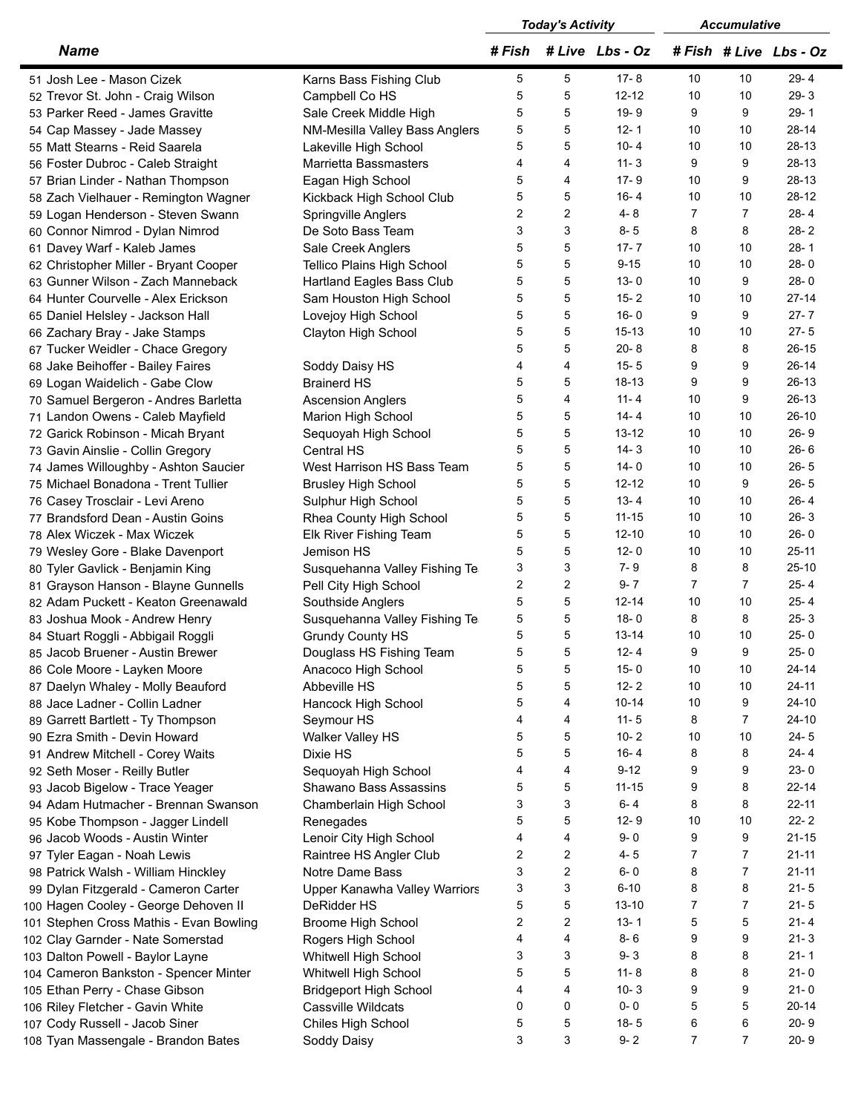|                                                                       | <b>Today's Activity</b> |                           | <b>Accumulative</b> |                |                |                    |
|-----------------------------------------------------------------------|-------------------------|---------------------------|---------------------|----------------|----------------|--------------------|
| <b>Name</b>                                                           |                         |                           | #Fish #Live Lbs-Oz  |                |                | #Fish #Live Lbs-Oz |
| 51 Josh Lee - Mason Cizek<br>Karns Bass Fishing Club                  | 5                       | 5                         | $17 - 8$            | 10             | 10             | $29 - 4$           |
| 52 Trevor St. John - Craig Wilson<br>Campbell Co HS                   | 5                       | 5                         | $12 - 12$           | 10             | 10             | $29 - 3$           |
| 53 Parker Reed - James Gravitte<br>Sale Creek Middle High             | 5                       | 5                         | $19 - 9$            | 9              | 9              | $29 - 1$           |
| 54 Cap Massey - Jade Massey<br>NM-Mesilla Valley Bass Anglers         | 5                       | 5                         | $12 - 1$            | 10             | 10             | $28 - 14$          |
| Lakeville High School<br>55 Matt Stearns - Reid Saarela               | 5                       | 5                         | $10 - 4$            | 10             | 10             | $28-13$            |
| <b>Marrietta Bassmasters</b><br>56 Foster Dubroc - Caleb Straight     | 4                       | 4                         | $11 - 3$            | 9              | 9              | $28-13$            |
| Eagan High School<br>57 Brian Linder - Nathan Thompson                | 5                       | 4                         | $17 - 9$            | 10             | 9              | $28-13$            |
| 58 Zach Vielhauer - Remington Wagner<br>Kickback High School Club     | 5                       | 5                         | $16 - 4$            | 10             | 10             | $28-12$            |
| 59 Logan Henderson - Steven Swann<br>Springville Anglers              | 2                       | $\overline{2}$            | $4 - 8$             | $\overline{7}$ | $\overline{7}$ | $28 - 4$           |
| 60 Connor Nimrod - Dylan Nimrod<br>De Soto Bass Team                  | 3                       | 3                         | $8 - 5$             | 8              | 8              | $28 - 2$           |
| 61 Davey Warf - Kaleb James<br>Sale Creek Anglers                     | 5                       | 5                         | $17 - 7$            | 10             | 10             | $28 - 1$           |
| 62 Christopher Miller - Bryant Cooper<br>Tellico Plains High School   | 5                       | 5                         | $9 - 15$            | 10             | 10             | $28 - 0$           |
| 63 Gunner Wilson - Zach Manneback<br>Hartland Eagles Bass Club        | 5                       | 5                         | $13 - 0$            | 10             | 9              | $28 - 0$           |
| 64 Hunter Courvelle - Alex Erickson<br>Sam Houston High School        | 5                       | 5                         | $15 - 2$            | 10             | 10             | $27 - 14$          |
|                                                                       | 5                       | 5                         | $16 - 0$            | 9              | 9              | $27 - 7$           |
| Lovejoy High School<br>65 Daniel Helsley - Jackson Hall               | 5                       | 5                         | $15 - 13$           | 10             | 10             | $27 - 5$           |
| Clayton High School<br>66 Zachary Bray - Jake Stamps                  |                         | 5                         | $20 - 8$            | 8              | 8              | $26-15$            |
| 67 Tucker Weidler - Chace Gregory                                     | 5                       |                           |                     |                |                |                    |
| 68 Jake Beihoffer - Bailey Faires<br>Soddy Daisy HS                   | 4                       | $\overline{\mathbf{4}}$   | $15 - 5$            | 9              | 9              | $26-14$            |
| 69 Logan Waidelich - Gabe Clow<br><b>Brainerd HS</b>                  | 5                       | 5                         | $18-13$             | 9              | 9              | $26-13$            |
| 70 Samuel Bergeron - Andres Barletta<br><b>Ascension Anglers</b>      | 5                       | 4                         | $11 - 4$            | 10             | 9              | $26-13$            |
| 71 Landon Owens - Caleb Mayfield<br>Marion High School                | 5                       | 5                         | $14 - 4$            | 10             | 10             | $26-10$            |
| 72 Garick Robinson - Micah Bryant<br>Sequoyah High School             | 5                       | 5                         | $13 - 12$           | 10             | 10             | $26 - 9$           |
| 73 Gavin Ainslie - Collin Gregory<br>Central HS                       | 5                       | 5                         | $14 - 3$            | 10             | 10             | $26 - 6$           |
| West Harrison HS Bass Team<br>74 James Willoughby - Ashton Saucier    | 5                       | 5                         | $14 - 0$            | 10             | 10             | $26 - 5$           |
| 75 Michael Bonadona - Trent Tullier<br><b>Brusley High School</b>     | 5                       | 5                         | $12 - 12$           | 10             | 9              | $26 - 5$           |
| 76 Casey Trosclair - Levi Areno<br>Sulphur High School                | 5                       | 5                         | $13 - 4$            | 10             | 10             | $26 - 4$           |
| 77 Brandsford Dean - Austin Goins<br>Rhea County High School          | 5                       | 5                         | $11 - 15$           | 10             | 10             | $26 - 3$           |
| 78 Alex Wiczek - Max Wiczek<br>Elk River Fishing Team                 | 5                       | 5                         | $12 - 10$           | 10             | 10             | $26 - 0$           |
| 79 Wesley Gore - Blake Davenport<br>Jemison HS                        | 5                       | 5                         | $12 - 0$            | 10             | 10             | $25 - 11$          |
| 80 Tyler Gavlick - Benjamin King<br>Susquehanna Valley Fishing Te     | 3                       | 3                         | $7 - 9$             | 8              | 8              | $25-10$            |
| 81 Grayson Hanson - Blayne Gunnells<br>Pell City High School          | $\overline{2}$          | $\overline{2}$            | $9 - 7$             | $\overline{7}$ | $\overline{7}$ | $25 - 4$           |
| 82 Adam Puckett - Keaton Greenawald<br>Southside Anglers              | 5                       | 5                         | $12 - 14$           | 10             | 10             | $25 - 4$           |
| Susquehanna Valley Fishing Te<br>83 Joshua Mook - Andrew Henry        | 5                       | 5                         | $18 - 0$            | 8              | 8              | $25 - 3$           |
| 84 Stuart Roggli - Abbigail Roggli<br><b>Grundy County HS</b>         | 5                       | 5                         | $13 - 14$           | 10             | 10             | $25 - 0$           |
| Douglass HS Fishing Team<br>85 Jacob Bruener - Austin Brewer          | 5                       | $\,$ 5 $\,$               | $12 - 4$            | 9              | 9              | $25 - 0$           |
| 86 Cole Moore - Layken Moore<br>Anacoco High School                   | 5                       | 5                         | $15 - 0$            | 10             | 10             | $24 - 14$          |
| Abbeville HS<br>87 Daelyn Whaley - Molly Beauford                     | 5                       | 5                         | $12 - 2$            | 10             | 10             | $24 - 11$          |
| 88 Jace Ladner - Collin Ladner<br>Hancock High School                 | 5                       | $\overline{\mathbf{4}}$   | $10 - 14$           | 10             | 9              | 24-10              |
| Seymour HS<br>89 Garrett Bartlett - Ty Thompson                       | 4                       | 4                         | $11 - 5$            | 8              | $\overline{7}$ | $24 - 10$          |
| Walker Valley HS<br>90 Ezra Smith - Devin Howard                      | 5                       | 5                         | $10 - 2$            | 10             | 10             | $24 - 5$           |
| 91 Andrew Mitchell - Corey Waits<br>Dixie HS                          | 5                       | 5                         | $16 - 4$            | 8              | 8              | $24 - 4$           |
| 92 Seth Moser - Reilly Butler<br>Sequoyah High School                 | 4                       | $\overline{4}$            | $9 - 12$            | 9              | 9              | $23 - 0$           |
| 93 Jacob Bigelow - Trace Yeager<br>Shawano Bass Assassins             | 5                       | $\mathbf 5$               | $11 - 15$           | 9              | 8              | $22 - 14$          |
| 94 Adam Hutmacher - Brennan Swanson<br>Chamberlain High School        | 3                       | 3                         | $6 - 4$             | 8              | 8              | $22 - 11$          |
| 95 Kobe Thompson - Jagger Lindell<br>Renegades                        | 5                       | 5                         | $12 - 9$            | 10             | 10             | $22 - 2$           |
| 96 Jacob Woods - Austin Winter<br>Lenoir City High School             | 4                       | $\overline{\mathbf{4}}$   | $9 - 0$             | 9              | 9              | $21 - 15$          |
|                                                                       | 2                       | $\overline{2}$            | $4 - 5$             | $\overline{7}$ | $\overline{7}$ | $21 - 11$          |
| Raintree HS Angler Club<br>97 Tyler Eagan - Noah Lewis                |                         | $\overline{c}$            | $6 - 0$             |                | $\overline{7}$ | $21 - 11$          |
| Notre Dame Bass<br>98 Patrick Walsh - William Hinckley                | 3                       |                           |                     | 8              |                |                    |
| Upper Kanawha Valley Warriors<br>99 Dylan Fitzgerald - Cameron Carter | 3                       | $\ensuremath{\mathsf{3}}$ | $6 - 10$            | 8              | 8              | $21 - 5$           |
| 100 Hagen Cooley - George Dehoven II<br>DeRidder HS                   | 5                       | $\mathbf 5$               | $13 - 10$           | $\overline{7}$ | $\overline{7}$ | $21 - 5$           |
| 101 Stephen Cross Mathis - Evan Bowling<br>Broome High School         | 2                       | $\overline{2}$            | $13 - 1$            | 5              | 5              | $21 - 4$           |
| 102 Clay Garnder - Nate Somerstad<br>Rogers High School               | 4                       | $\overline{\mathbf{4}}$   | $8 - 6$             | 9              | 9              | $21 - 3$           |
| 103 Dalton Powell - Baylor Layne<br>Whitwell High School              | 3                       | 3                         | $9 - 3$             | 8              | 8              | $21 - 1$           |
| 104 Cameron Bankston - Spencer Minter<br>Whitwell High School         | 5                       | 5                         | $11 - 8$            | 8              | 8              | $21 - 0$           |
| 105 Ethan Perry - Chase Gibson<br><b>Bridgeport High School</b>       | 4                       | 4                         | $10 - 3$            | 9              | 9              | $21 - 0$           |
| Cassville Wildcats<br>106 Riley Fletcher - Gavin White                | 0                       | $\pmb{0}$                 | $0 - 0$             | 5              | 5              | $20 - 14$          |
| Chiles High School<br>107 Cody Russell - Jacob Siner                  | 5                       | $\,$ 5 $\,$               | $18 - 5$            | 6              | 6              | $20 - 9$           |
| 108 Tyan Massengale - Brandon Bates<br>Soddy Daisy                    | 3                       | 3                         | $9 - 2$             | $\overline{7}$ | $\overline{7}$ | $20 - 9$           |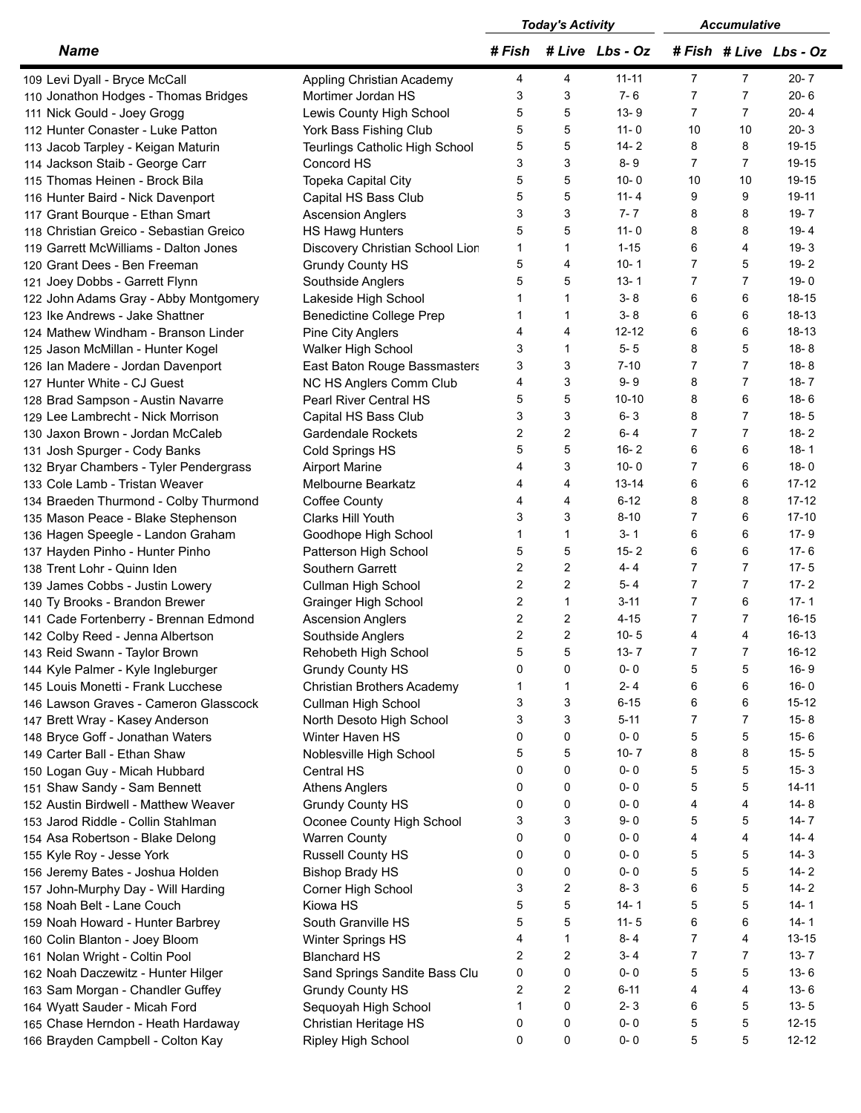|                                         |                                 | <b>Today's Activity</b> |                | <b>Accumulative</b> |                |                |                    |
|-----------------------------------------|---------------------------------|-------------------------|----------------|---------------------|----------------|----------------|--------------------|
| <b>Name</b>                             |                                 | # Fish                  |                | # Live Lbs - Oz     |                |                | #Fish #Live Lbs-Oz |
| 109 Levi Dyall - Bryce McCall           | Appling Christian Academy       | 4                       | 4              | $11 - 11$           | $\overline{7}$ | $\overline{7}$ | $20 - 7$           |
| 110 Jonathon Hodges - Thomas Bridges    | Mortimer Jordan HS              | 3                       | 3              | $7 - 6$             | $\overline{7}$ | $\overline{7}$ | $20 - 6$           |
| 111 Nick Gould - Joey Grogg             | Lewis County High School        | 5                       | 5              | $13 - 9$            | $\overline{7}$ | $\overline{7}$ | $20 - 4$           |
| 112 Hunter Conaster - Luke Patton       | York Bass Fishing Club          | 5                       | 5              | $11 - 0$            | 10             | 10             | $20 - 3$           |
| 113 Jacob Tarpley - Keigan Maturin      | Teurlings Catholic High School  | 5                       | 5              | $14 - 2$            | 8              | 8              | 19-15              |
| 114 Jackson Staib - George Carr         | Concord HS                      | 3                       | 3              | $8 - 9$             | $\overline{7}$ | $\overline{7}$ | 19-15              |
| 115 Thomas Heinen - Brock Bila          | Topeka Capital City             | 5                       | 5              | $10 - 0$            | 10             | 10             | 19-15              |
| 116 Hunter Baird - Nick Davenport       | Capital HS Bass Club            | 5                       | 5              | $11 - 4$            | 9              | 9              | 19-11              |
| 117 Grant Bourque - Ethan Smart         | <b>Ascension Anglers</b>        | 3                       | 3              | $7 - 7$             | 8              | 8              | $19 - 7$           |
|                                         |                                 | 5                       | 5              | $11 - 0$            | 8              | 8              | $19 - 4$           |
| 118 Christian Greico - Sebastian Greico | HS Hawg Hunters                 | $\mathbf{1}$            | $\mathbf{1}$   | $1 - 15$            | 6              | 4              |                    |
| 119 Garrett McWilliams - Dalton Jones   | Discovery Christian School Lion |                         |                |                     | $\overline{7}$ |                | $19 - 3$           |
| 120 Grant Dees - Ben Freeman            | <b>Grundy County HS</b>         | 5                       | 4              | $10 - 1$            |                | 5              | $19 - 2$           |
| 121 Joey Dobbs - Garrett Flynn          | Southside Anglers               | 5                       | 5              | $13 - 1$            | $\overline{7}$ | $\overline{7}$ | $19 - 0$           |
| 122 John Adams Gray - Abby Montgomery   | Lakeside High School            | 1                       | $\mathbf{1}$   | $3 - 8$             | 6              | 6              | $18 - 15$          |
| 123 Ike Andrews - Jake Shattner         | <b>Benedictine College Prep</b> |                         | 1              | $3 - 8$             | 6              | 6              | 18-13              |
| 124 Mathew Windham - Branson Linder     | Pine City Anglers               | 4                       | 4              | $12 - 12$           | 6              | 6              | 18-13              |
| 125 Jason McMillan - Hunter Kogel       | Walker High School              | 3                       | $\mathbf{1}$   | $5 - 5$             | 8              | 5              | $18 - 8$           |
| 126 Ian Madere - Jordan Davenport       | East Baton Rouge Bassmasters    | 3                       | 3              | $7 - 10$            | 7              | $\overline{7}$ | $18 - 8$           |
| 127 Hunter White - CJ Guest             | NC HS Anglers Comm Club         | 4                       | 3              | $9 - 9$             | 8              | $\overline{7}$ | $18 - 7$           |
| 128 Brad Sampson - Austin Navarre       | Pearl River Central HS          | 5                       | 5              | $10 - 10$           | 8              | 6              | $18 - 6$           |
| 129 Lee Lambrecht - Nick Morrison       | Capital HS Bass Club            | 3                       | 3              | $6 - 3$             | 8              | $\overline{7}$ | $18 - 5$           |
| 130 Jaxon Brown - Jordan McCaleb        | Gardendale Rockets              | 2                       | $\overline{2}$ | $6 - 4$             | $\overline{7}$ | $\overline{7}$ | $18 - 2$           |
| 131 Josh Spurger - Cody Banks           | Cold Springs HS                 | 5                       | 5              | $16 - 2$            | 6              | 6              | $18 - 1$           |
| 132 Bryar Chambers - Tyler Pendergrass  | <b>Airport Marine</b>           | 4                       | 3              | $10 - 0$            | $\overline{7}$ | 6              | $18 - 0$           |
| 133 Cole Lamb - Tristan Weaver          | Melbourne Bearkatz              | 4                       | $\overline{4}$ | $13 - 14$           | 6              | 6              | $17 - 12$          |
| 134 Braeden Thurmond - Colby Thurmond   | Coffee County                   | 4                       | $\overline{4}$ | $6 - 12$            | 8              | 8              | $17 - 12$          |
| 135 Mason Peace - Blake Stephenson      | Clarks Hill Youth               | 3                       | 3              | $8 - 10$            | 7              | 6              | $17-10$            |
| 136 Hagen Speegle - Landon Graham       | Goodhope High School            | 1                       | $\mathbf{1}$   | $3 - 1$             | 6              | 6              | $17 - 9$           |
| 137 Hayden Pinho - Hunter Pinho         | Patterson High School           | 5                       | 5              | $15 - 2$            | 6              | 6              | $17 - 6$           |
| 138 Trent Lohr - Quinn Iden             | Southern Garrett                | 2                       | $\overline{2}$ | $4 - 4$             | $\overline{7}$ | $\overline{7}$ | $17 - 5$           |
| 139 James Cobbs - Justin Lowery         | Cullman High School             | $\overline{2}$          | $\overline{2}$ | $5 - 4$             | $\overline{7}$ | $\overline{7}$ | $17 - 2$           |
| 140 Ty Brooks - Brandon Brewer          | Grainger High School            | 2                       | $\mathbf{1}$   | $3 - 11$            | $\overline{7}$ | 6              | $17 - 1$           |
|                                         | <b>Ascension Anglers</b>        | $\overline{2}$          | $\overline{2}$ | $4 - 15$            | $\overline{7}$ | $\overline{7}$ | $16 - 15$          |
| 141 Cade Fortenberry - Brennan Edmond   |                                 | $\overline{2}$          | $\overline{2}$ | $10 - 5$            |                |                |                    |
| 142 Colby Reed - Jenna Albertson        | Southside Anglers               |                         |                | $13 - 7$            | 4              | 4              | 16-13              |
| 143 Reid Swann - Taylor Brown           | Rehobeth High School            | 5                       | 5              |                     |                | 7              | $16-12$            |
| 144 Kyle Palmer - Kyle Ingleburger      | <b>Grundy County HS</b>         | 0                       | 0              | $0 - 0$             | 5              | 5              | $16 - 9$           |
| 145 Louis Monetti - Frank Lucchese      | Christian Brothers Academy      | 1                       | 1              | $2 - 4$             | 6              | 6              | $16 - 0$           |
| 146 Lawson Graves - Cameron Glasscock   | Cullman High School             | 3                       | 3              | $6 - 15$            | 6              | 6              | $15 - 12$          |
| 147 Brett Wray - Kasey Anderson         | North Desoto High School        | 3                       | 3              | $5 - 11$            | $\overline{7}$ | $\overline{7}$ | $15 - 8$           |
| 148 Bryce Goff - Jonathan Waters        | Winter Haven HS                 | 0                       | 0              | $0 - 0$             | 5              | 5              | $15 - 6$           |
| 149 Carter Ball - Ethan Shaw            | Noblesville High School         | 5                       | 5              | $10 - 7$            | 8              | 8              | $15 - 5$           |
| 150 Logan Guy - Micah Hubbard           | Central HS                      | 0                       | 0              | $0 - 0$             | 5              | 5              | $15 - 3$           |
| 151 Shaw Sandy - Sam Bennett            | <b>Athens Anglers</b>           | 0                       | 0              | $0 - 0$             | 5              | 5              | $14 - 11$          |
| 152 Austin Birdwell - Matthew Weaver    | <b>Grundy County HS</b>         | 0                       | 0              | $0 - 0$             | 4              | 4              | $14 - 8$           |
| 153 Jarod Riddle - Collin Stahlman      | Oconee County High School       | 3                       | 3              | $9 - 0$             | 5              | 5              | $14 - 7$           |
| 154 Asa Robertson - Blake Delong        | <b>Warren County</b>            | 0                       | $\mathbf 0$    | $0 - 0$             | 4              | 4              | $14 - 4$           |
| 155 Kyle Roy - Jesse York               | Russell County HS               | 0                       | 0              | $0 - 0$             | 5              | 5              | $14 - 3$           |
| 156 Jeremy Bates - Joshua Holden        | <b>Bishop Brady HS</b>          | 0                       | 0              | $0 - 0$             | 5              | 5              | $14 - 2$           |
| 157 John-Murphy Day - Will Harding      | Corner High School              | 3                       | $\overline{2}$ | $8 - 3$             | 6              | 5              | $14 - 2$           |
| 158 Noah Belt - Lane Couch              | Kiowa HS                        | 5                       | 5              | $14 - 1$            | 5              | 5              | $14 - 1$           |
| 159 Noah Howard - Hunter Barbrey        | South Granville HS              | 5                       | 5              | $11 - 5$            | 6              | 6              | $14 - 1$           |
| 160 Colin Blanton - Joey Bloom          | Winter Springs HS               | 4                       | $\mathbf{1}$   | $8 - 4$             | $\overline{7}$ | 4              | $13 - 15$          |
| 161 Nolan Wright - Coltin Pool          | <b>Blanchard HS</b>             | $\overline{2}$          | $\overline{2}$ | $3 - 4$             | $\overline{7}$ | $\overline{7}$ | $13 - 7$           |
| 162 Noah Daczewitz - Hunter Hilger      | Sand Springs Sandite Bass Clu   | 0                       | $\mathbf 0$    | $0 - 0$             | 5              | 5              | $13 - 6$           |
| 163 Sam Morgan - Chandler Guffey        | <b>Grundy County HS</b>         | $\overline{c}$          | $\overline{2}$ | $6 - 11$            | 4              | 4              | $13 - 6$           |
| 164 Wyatt Sauder - Micah Ford           | Sequoyah High School            | 1                       | 0              | $2 - 3$             | 6              | 5              | $13 - 5$           |
| 165 Chase Herndon - Heath Hardaway      | Christian Heritage HS           | 0                       | 0              | $0 - 0$             | 5              | 5              | $12 - 15$          |
|                                         |                                 | 0                       | 0              | $0 - 0$             | 5              | 5              | $12 - 12$          |
| 166 Brayden Campbell - Colton Kay       | Ripley High School              |                         |                |                     |                |                |                    |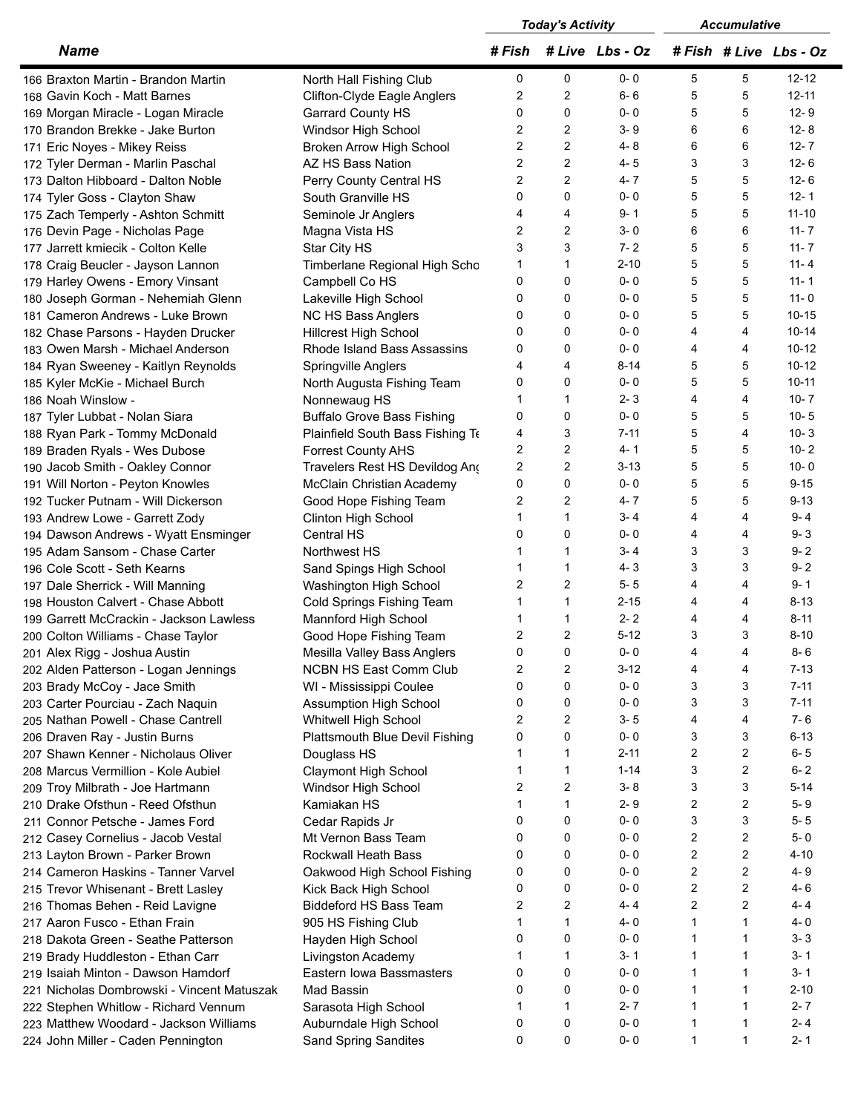|                                            |                                   | <b>Today's Activity</b> |                | <b>Accumulative</b> |                |                |                    |
|--------------------------------------------|-----------------------------------|-------------------------|----------------|---------------------|----------------|----------------|--------------------|
| <b>Name</b>                                |                                   | # Fish                  |                | # Live Lbs - Oz     |                |                | #Fish #Live Lbs-Oz |
| 166 Braxton Martin - Brandon Martin        | North Hall Fishing Club           | 0                       | 0              | $0 - 0$             | 5              | 5              | $12 - 12$          |
| 168 Gavin Koch - Matt Barnes               | Clifton-Clyde Eagle Anglers       | 2                       | 2              | $6 - 6$             | 5              | 5              | $12 - 11$          |
| 169 Morgan Miracle - Logan Miracle         | Garrard County HS                 | $\Omega$                | $\mathbf 0$    | $0 - 0$             | 5              | 5              | $12 - 9$           |
| 170 Brandon Brekke - Jake Burton           | Windsor High School               | $\overline{2}$          | $\overline{2}$ | $3 - 9$             | 6              | 6              | $12 - 8$           |
| 171 Eric Noyes - Mikey Reiss               | <b>Broken Arrow High School</b>   | $\overline{2}$          | 2              | 4-8                 | 6              | 6              | $12 - 7$           |
| 172 Tyler Derman - Marlin Paschal          | AZ HS Bass Nation                 | $\overline{2}$          | 2              | $4 - 5$             | 3              | 3              | $12 - 6$           |
| 173 Dalton Hibboard - Dalton Noble         | Perry County Central HS           | $\overline{2}$          | 2              | $4 - 7$             | 5              | 5              | $12 - 6$           |
| 174 Tyler Goss - Clayton Shaw              | South Granville HS                | 0                       | 0              | $0 - 0$             | 5              | 5              | $12 - 1$           |
| 175 Zach Temperly - Ashton Schmitt         | Seminole Jr Anglers               | 4                       | 4              | $9 - 1$             | 5              | 5              | $11 - 10$          |
| 176 Devin Page - Nicholas Page             | Magna Vista HS                    | $\overline{c}$          | 2              | $3 - 0$             | 6              | 6              | $11 - 7$           |
| 177 Jarrett kmiecik - Colton Kelle         | Star City HS                      | 3                       | 3              | $7 - 2$             | 5              | 5              | $11 - 7$           |
| 178 Craig Beucler - Jayson Lannon          | Timberlane Regional High Scho     | 1                       | $\mathbf{1}$   | $2 - 10$            | 5              | 5              | $11 - 4$           |
|                                            |                                   | 0                       | 0              | $0 - 0$             | 5              | 5              | $11 - 1$           |
| 179 Harley Owens - Emory Vinsant           | Campbell Co HS                    | 0                       | $\mathbf{0}$   | $0 - 0$             | 5              | 5              | $11 - 0$           |
| 180 Joseph Gorman - Nehemiah Glenn         | Lakeville High School             |                         |                | $0 - 0$             |                | 5              |                    |
| 181 Cameron Andrews - Luke Brown           | NC HS Bass Anglers                | 0                       | 0              |                     | 5              |                | $10 - 15$          |
| 182 Chase Parsons - Hayden Drucker         | <b>Hillcrest High School</b>      | 0                       | $\mathbf{0}$   | $0 - 0$             | 4              | 4              | $10 - 14$          |
| 183 Owen Marsh - Michael Anderson          | Rhode Island Bass Assassins       | 0                       | 0              | $0 - 0$             | 4              | 4              | $10 - 12$          |
| 184 Ryan Sweeney - Kaitlyn Reynolds        | Springville Anglers               | 4                       | 4              | $8 - 14$            | 5              | 5              | $10 - 12$          |
| 185 Kyler McKie - Michael Burch            | North Augusta Fishing Team        | 0                       | $\mathbf{0}$   | $0 - 0$             | 5              | 5              | $10 - 11$          |
| 186 Noah Winslow -                         | Nonnewaug HS                      |                         | $\mathbf{1}$   | $2 - 3$             | 4              | 4              | $10 - 7$           |
| 187 Tyler Lubbat - Nolan Siara             | <b>Buffalo Grove Bass Fishing</b> | 0                       | 0              | $0 - 0$             | 5              | 5              | $10 - 5$           |
| 188 Ryan Park - Tommy McDonald             | Plainfield South Bass Fishing To  | 4                       | 3              | $7 - 11$            | 5              | 4              | $10 - 3$           |
| 189 Braden Ryals - Wes Dubose              | <b>Forrest County AHS</b>         | $\overline{c}$          | 2              | $4 - 1$             | 5              | 5              | $10 - 2$           |
| 190 Jacob Smith - Oakley Connor            | Travelers Rest HS Devildog Ang    | $\overline{2}$          | 2              | $3 - 13$            | 5              | 5              | $10 - 0$           |
| 191 Will Norton - Peyton Knowles           | McClain Christian Academy         | 0                       | 0              | $0 - 0$             | 5              | 5              | $9 - 15$           |
| 192 Tucker Putnam - Will Dickerson         | Good Hope Fishing Team            | 2                       | 2              | $4 - 7$             | 5              | 5              | $9 - 13$           |
| 193 Andrew Lowe - Garrett Zody             | Clinton High School               | 1                       | $\mathbf{1}$   | $3 - 4$             | 4              | 4              | $9 - 4$            |
| 194 Dawson Andrews - Wyatt Ensminger       | Central HS                        | 0                       | 0              | $0 - 0$             | 4              | 4              | $9 - 3$            |
| 195 Adam Sansom - Chase Carter             | Northwest HS                      | 1                       | $\mathbf{1}$   | $3 - 4$             | 3              | 3              | $9 - 2$            |
| 196 Cole Scott - Seth Kearns               | Sand Spings High School           | 1                       | $\mathbf{1}$   | $4 - 3$             | 3              | 3              | $9 - 2$            |
| 197 Dale Sherrick - Will Manning           | Washington High School            | $\overline{2}$          | 2              | $5 - 5$             | 4              | 4              | $9 - 1$            |
| 198 Houston Calvert - Chase Abbott         | Cold Springs Fishing Team         | 1                       | $\mathbf{1}$   | $2 - 15$            | 4              | 4              | $8 - 13$           |
| 199 Garrett McCrackin - Jackson Lawless    | Mannford High School              | 1                       | $\mathbf{1}$   | $2 - 2$             | 4              | 4              | $8 - 11$           |
| 200 Colton Williams - Chase Taylor         | Good Hope Fishing Team            | $\overline{2}$          | 2              | $5 - 12$            | 3              | 3              | $8 - 10$           |
| 201 Alex Rigg - Joshua Austin              | Mesilla Valley Bass Anglers       | 0                       | 0              | 0-0                 | 4              | 4              | 8-6                |
| 202 Alden Patterson - Logan Jennings       | <b>NCBN HS East Comm Club</b>     | 2                       | 2              | $3 - 12$            | 4              | 4              | $7 - 13$           |
| 203 Brady McCoy - Jace Smith               | WI - Mississippi Coulee           | 0                       | 0              | $0 - 0$             | 3              | 3              | $7 - 11$           |
| 203 Carter Pourciau - Zach Naquin          | <b>Assumption High School</b>     | 0                       | 0              | $0 - 0$             | 3              | 3              | $7 - 11$           |
| 205 Nathan Powell - Chase Cantrell         | Whitwell High School              | 2                       | $\overline{c}$ | $3 - 5$             | 4              | 4              | $7 - 6$            |
|                                            | Plattsmouth Blue Devil Fishing    | 0                       | 0              | $0 - 0$             | 3              | 3              | 6-13               |
| 206 Draven Ray - Justin Burns              |                                   | 1                       | $\mathbf 1$    | $2 - 11$            | 2              | $\overline{2}$ | $6 - 5$            |
| 207 Shawn Kenner - Nicholaus Oliver        | Douglass HS                       |                         | $\overline{1}$ |                     |                |                |                    |
| 208 Marcus Vermillion - Kole Aubiel        | Claymont High School              | 1                       |                | $1 - 14$            | 3              | $\overline{2}$ | $6 - 2$            |
| 209 Troy Milbrath - Joe Hartmann           | Windsor High School               | $\overline{2}$          | 2              | $3 - 8$             | 3              | 3              | $5 - 14$           |
| 210 Drake Ofsthun - Reed Ofsthun           | Kamiakan HS                       | 1                       | $\mathbf{1}$   | $2 - 9$             | 2              | $\overline{2}$ | $5-9$              |
| 211 Connor Petsche - James Ford            | Cedar Rapids Jr                   | 0                       | 0              | $0 - 0$             | 3              | 3              | $5 - 5$            |
| 212 Casey Cornelius - Jacob Vestal         | Mt Vernon Bass Team               | 0                       | 0              | $0 - 0$             | 2              | $\overline{2}$ | $5-0$              |
| 213 Layton Brown - Parker Brown            | Rockwall Heath Bass               | 0                       | 0              | $0 - 0$             | 2              | $\overline{2}$ | $4 - 10$           |
| 214 Cameron Haskins - Tanner Varvel        | Oakwood High School Fishing       | 0                       | 0              | $0 - 0$             | $\overline{c}$ | $\overline{2}$ | 4-9                |
| 215 Trevor Whisenant - Brett Lasley        | Kick Back High School             | 0                       | 0              | $0 - 0$             | 2              | $\overline{2}$ | $4 - 6$            |
| 216 Thomas Behen - Reid Lavigne            | Biddeford HS Bass Team            | $\overline{2}$          | $\overline{c}$ | $4 - 4$             | $\overline{2}$ | 2              | $4 - 4$            |
| 217 Aaron Fusco - Ethan Frain              | 905 HS Fishing Club               | 1                       | $\mathbf{1}$   | 4-0                 | 1              | $\mathbf{1}$   | $4 - 0$            |
| 218 Dakota Green - Seathe Patterson        | Hayden High School                | 0                       | 0              | $0 - 0$             | 1              | $\mathbf{1}$   | $3 - 3$            |
| 219 Brady Huddleston - Ethan Carr          | Livingston Academy                | 1                       | $\mathbf 1$    | $3 - 1$             | 1              | 1              | $3 - 1$            |
| 219 Isaiah Minton - Dawson Hamdorf         | Eastern Iowa Bassmasters          | 0                       | 0              | $0 - 0$             | 1              | $\mathbf{1}$   | $3 - 1$            |
| 221 Nicholas Dombrowski - Vincent Matuszak | Mad Bassin                        | 0                       | 0              | $0 - 0$             | 1              | $\mathbf{1}$   | 2-10               |
| 222 Stephen Whitlow - Richard Vennum       | Sarasota High School              | 1                       | $\mathbf 1$    | $2 - 7$             | 1              | $\mathbf{1}$   | $2 - 7$            |
| 223 Matthew Woodard - Jackson Williams     | Auburndale High School            | 0                       | 0              | $0 - 0$             | 1              | $\mathbf{1}$   | $2 - 4$            |
| 224 John Miller - Caden Pennington         | Sand Spring Sandites              | 0                       | 0              | $0 - 0$             | 1              | $\mathbf{1}$   | $2 - 1$            |
|                                            |                                   |                         |                |                     |                |                |                    |